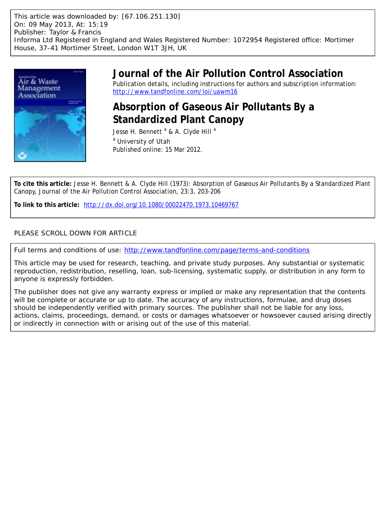This article was downloaded by: [67.106.251.130] On: 09 May 2013, At: 15:19 Publisher: Taylor & Francis Informa Ltd Registered in England and Wales Registered Number: 1072954 Registered office: Mortimer House, 37-41 Mortimer Street, London W1T 3JH, UK



### **Journal of the Air Pollution Control Association**

Publication details, including instructions for authors and subscription information: <http://www.tandfonline.com/loi/uawm16>

## **Absorption of Gaseous Air Pollutants By a Standardized Plant Canopy**

Jesse H. Bennett <sup>a</sup> & A. Clyde Hill <sup>a</sup> <sup>a</sup> University of Utah Published online: 15 Mar 2012.

**To cite this article:** Jesse H. Bennett & A. Clyde Hill (1973): Absorption of Gaseous Air Pollutants By a Standardized Plant Canopy, Journal of the Air Pollution Control Association, 23:3, 203-206

**To link to this article:** <http://dx.doi.org/10.1080/00022470.1973.10469767>

#### PLEASE SCROLL DOWN FOR ARTICLE

Full terms and conditions of use:<http://www.tandfonline.com/page/terms-and-conditions>

This article may be used for research, teaching, and private study purposes. Any substantial or systematic reproduction, redistribution, reselling, loan, sub-licensing, systematic supply, or distribution in any form to anyone is expressly forbidden.

The publisher does not give any warranty express or implied or make any representation that the contents will be complete or accurate or up to date. The accuracy of any instructions, formulae, and drug doses should be independently verified with primary sources. The publisher shall not be liable for any loss, actions, claims, proceedings, demand, or costs or damages whatsoever or howsoever caused arising directly or indirectly in connection with or arising out of the use of this material.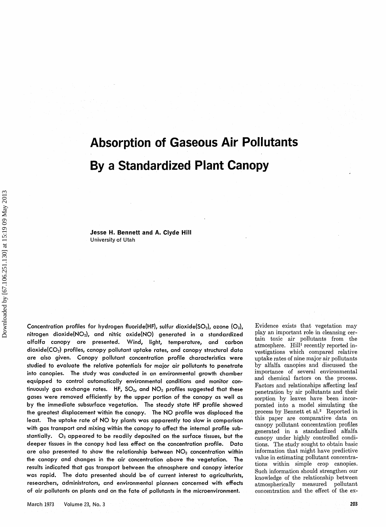# Downloaded by [67.106.251.130] at 15:19 09 May 2013 Downloaded by [67.106.251.130] at 15:19 09 May 2013

# **Absorption of Gaseous Air Pollutants By a Standardized Plant Canopy**

**Jesse H. Bennett and A. Clyde Hill** University of Utah

Concentration profiles for hydrogen fluoride(HF), sulfur dioxide(SO<sub>2</sub>), ozone (O<sub>3</sub>), nitrogen dioxide(NO2), and nitric oxide(NO) generated in a standardized alfalfa canopy are presented. Wind, light, temperature, and carbon dioxide( $CO<sub>2</sub>$ ) profiles, canopy pollutant uptake rates, and canopy structural data are also given. Canopy pollutant concentration profile characteristics were studied to evaluate the relative potentials for major air pollutants to penetrate into canopies. The study was conducted in an environmental growth chamber equipped to control automatically environmental conditions and monitor continuously gas exchange rates. HF,  $SO_2$ , and  $NO_2$  profiles suggested that these gases were removed efficiently by the upper portion of the canopy as well as by the immediate subsurface vegetation. The steady state HF profile showed the greatest displacement within the canopy. The NO profile was displaced the least. The uptake rate of NO by plants was apparently too slow in comparison with gas transport and mixing within the canopy to affect the internal profile substantially.  $O_3$  appeared to be readily deposited on the surface tissues, but the deeper tissues in the canopy had less effect on the concentration profile. Data are also presented to show the relationship between  $NO<sub>2</sub>$  concentration within the canopy and changes in the air concentration above the vegetation. The results indicated that gas transport between the atmosphere and canopy interior was rapid. The data presented should be of current interest to agriculturists, researchers, administrators, and environmental planners concerned with effects of air pollutants on plants and on the fate of pollutants in the microenvironment.

Evidence exists that vegetation may play an important role in cleansing certain toxic air pollutants from the atmosphere. Hill<sup>1</sup> recently reported investigations which compared relative uptake rates of nine major air pollutants by alfalfa canopies and discussed the importance of several environmental and chemical factors on the process. Factors and relationships affecting leaf penetration by air pollutants and their sorption by leaves have been incorporated into a model simulating the process by Bennett et al.<sup>2</sup> Reported in this paper are comparative data on canopy pollutant concentration profiles generated in a standardized alfalfa canopy under highly controlled conditions. The study sought to obtain basic information that might have predictive value in estimating pollutant concentrations within simple crop canopies. Such information should strengthen our knowledge of the relationship between atmospherically measured pollutant concentration and the effect of the ex-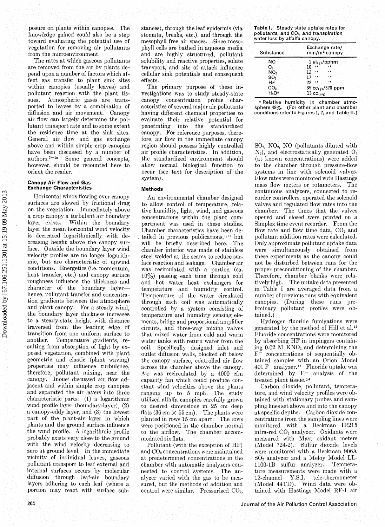posure on plants within canopies. The knowledge gained could also be a step toward evaluating the potential use of vegetation for removing air pollutants from the microenvironment.

The rates at which gaseous pollutants are removed from the air by plants depend upon a number of factors which affect gas transfer to plant sink sites within canopies (usually leaves) and pollutant reaction with the plant tissues. Atmospheric gases are transported to leaves by a combination of diffusion and air movement. Canopy air flow can largely determine the pollutant transport rate and to some extent the residence time at the sink sites. General air flow and gas exchange above and within simple crop canopies have been discussed by a number of  $\frac{1}{2}$  authors.<sup>3-10</sup> Some general concepts, however, should be recounted here to orient the reader.

#### **Canopy Air Flow and Gas Exchange Characteristics**

Horizontal winds flowing over canopy surfaces are slowed by frictional drag on the vegetation. Immediately above a crop canopy a turbulent air boundary layer exists. Within the boundary layer the mean horizontal wind velocity is decreased logarithmically with decreasing height above the canopy surface. Outside the boundary layer wind velocity profiles are no longer logarithmic, but are characteristic of upwind conditions. Energetics (i.e. momentum, heat transfer, etc.) and canopy surface roughness influence the thickness and character of the boundary layerhence, pollutant transfer and concentration gradients between the atmosphere and plant canopy. For a steady wind, the boundary layer thickness increases to a steady-state height with distance traversed from the leading edge of transition from one uniform surface to another. Temperature gradients, resulting from absorption of light by exposed vegetation, combined with plant geometric and elastic (plant waving) properties may influence turbulence, therefore, pollutant mixing, near the canopy. Inoue<sup>5</sup> discussed air flow adjacent and within simple crop canopies and separated the air layers into three characteristic parts: (1) a logarithmic wind profile layer (boundary-layer), (2) a canopy-eddy layer, and (3) the lowest part of the plant-air layer in which plants and the ground surface influence the wind profile. A logarithmic profile probably exists very close to the ground with the wind velocity decreasing to zero at ground level. In the immediate vicinity of individual leaves, gaseous pollutant transport to leaf external and internal surfaces occurs by molecular diffusion through leaf-air boundary layers adhering to each leaf (where a portion may react with surface substances), through the leaf epidermis (via stomata, breaks, etc.), and through the mesophyll free air spaces. Since mesophyll cells are bathed in aqueous media and are highly structured, pollutant solubility and reactive properties, solute transport, and site of attack influence cellular sink potentials and consequent effects.

The primary purpose of these investigations was to study steady-state canopy concentration profile characteristics of several major air pollutants having different chemical properties to evaluate their relative potential for penetrating into the standardized canopy. For reference purposes, therefore, air flow in the immediate canopy region should possess highly controlled air profile characteristics. In addition, the standardized environment should allow normal biological function to occur (see text for description of the system).

#### Methods

An environmental chamber designed to allow control of temperature, relative humidity, light, wind, and gaseous concentrations within the plant compartment was used in these studies. Chamber characteristics have been detailed in previous publications,<sup>1,11</sup> but will be briefly described here. The chamber interior was made of stainless steel welded at the seams to reduce surface reaction and leakage. Chamber air was recirculated with a portion (ca. 10%) passing each time through cold and hot water heat exchangers for temperature and humidity control. Temperature of the water circulated through each coil was automatically controlled by a system consisting of temperature and humidity sensing elements, bridge and proportional amplifier circuits, and three-way mixing valves that mixed water from cold and warm water tanks with return water from the coil. Specifically designed inlet and outlet diffusion walls, blocked off below the canopy surface, controlled air flow across the chamber above the canopy. Air was recirculated by a 4000 cfm capacity fan which could produce constant wind velocities above the plants ranging up to 5 mph. The study utilized alfalfa canopies carefully grown to desired dimensions in 25 cm deep flats (36 cm  $\times$  55 cm). The plants were planted in rows 15 cm apart. The rows were positioned in the chamber normal to the airflow. The chamber accommodated six flats.

Pollutant (with the exception of HF) and  $CO<sub>2</sub>$  concentrations were maintained at predetermined concentrations in the chamber with automatic analyzers connected to control systems. The analyzer varied with the gas to be measured, but the methods of addition and control were similar. Pressurized CO2,

| Table I. Steady state uptake rates for |  |  |
|----------------------------------------|--|--|
| pollutants, and CO2, and transpiration |  |  |
| water loss by alfalfa canopy.          |  |  |

| Substance                                                                               | Exchange rate/<br>min/m <sup>2</sup> canopy                                                               |  |  |
|-----------------------------------------------------------------------------------------|-----------------------------------------------------------------------------------------------------------|--|--|
| NO<br>$O_3$<br>NO <sub>2</sub><br>SO <sub>2</sub><br>HF.<br>CO <sub>2</sub><br>$H_2O^a$ | $1 \mu_{(g)}/p$ phm<br>10<br>12<br>$-11$<br>17<br>22.<br>35 $cc_{(g)}/320$ ppm<br>13 $cc$ <sub>(aq)</sub> |  |  |

a Relative humidity in chamber atmosphere 48%. (For other plant and chamber conditions refer to Figures 1, 2, and Table **II.)**

 $SO<sub>2</sub>$ , NO<sub>2</sub>, NO (pollutants diluted with  $N_2$ ), and electrostatically generated  $O_3$ (at known concentrations) were added to the chamber through pressure-flow systems in line with solenoid valves. Flow rates were monitored with Hastings mass flow meters or rotameters. The continuous analyzers, connected to recorder controllers, operated the solenoid valves and regulated flow rates into the chamber. The times that the valves opened and closed were printed on a Simplex time event recorder. From the flow rate and flow time data,  $CO<sub>2</sub>$  and pollutant addition rates were calculated. Only approximate pollutant uptake data were simultaneously obtained from these experiments as the canopy could not be disturbed between runs for the proper preconditioning of the chamber. Therefore, chamber blanks were relatively high. The uptake data presented in Table I are averaged data from a number of previous runs with equivalent canopies. (During these runs preliminary pollutant profiles were obtained.)

Hydrogen fluoride fumigations were generated by the method of Hill et al.<sup>12</sup> Fluoride concentrations were monitored by absorbing HF in impingers containing  $0.02$  M KNO<sub>3</sub> and determining the  $F<sup>-</sup>$  concentrations of sequentially obtained samples with an Orion Model 401 F~ analyzer.<sup>13</sup> Fluoride uptake was determined by F<sup>-</sup> analysis of the treated plant tissue.<sup>14</sup>

Carbon dioxide, pollutant, temperature, and wind velocity profiles were obtained with stationary probes and sampling lines set above and into the canopy at specific depths. Carbon dioxide concentrations from the sampling lines were monitored with a Beckman IR215 infra-red CO<sub>2</sub> analyzer. Oxidants were measured with Mast oxidant meters (Model 724-2). Sulfur dioxide levels were monitored with a Beckman 906A SO2 analyzer and a Meloy Model LL-1100-1B sulfur analyzer. Temperature measurements were made with a 12-channel Y.S.I, tele-thermometer (Model 44TD). Wind data were obtained with Hastings Model RF-1 air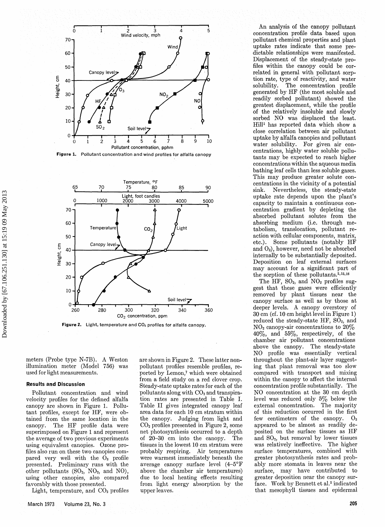





Figure 2. Light, temperature and CO<sub>2</sub> profiles for alfalfa canopy.

meters (Probe type N-7B). A Weston illumination meter (Model 756) was used for light measurements.

#### Results and Discussion

Pollutant concentration and wind velocity profiles for the defined alfalfa canopy are shown in Figure 1. Pollutant profiles, except for HF, were obtained from the same location in the canopy. The HF profile data were superimposed on Figure 1 and represent the average of two previous experiments using equivalent canopies. Ozone profiles also run on these two canopies compared very well with the O3 profile presented. Preliminary runs with the other pollutants  $(SO_2, NO_2, and NO)$ , using other canopies, also compared favorably with those presented.

Light, temperature, and  $CO<sub>2</sub>$  profiles

are shown in Figure 2. These latter nonpollutant profiles resemble profiles, reported by Lemon,<sup>7</sup> which were obtained from a field study on a red clover crop. Steady-state uptake rates for each of the pollutants along with  $CO<sub>2</sub>$  and transpiration rates are presented in Table I. Table II gives integrated canopy leaf area data for each 10 cm stratum within the canopy. Judging from light and  $CO<sub>2</sub>$  profiles presented in Figure 2, some

An analysis of the canopy pollutant concentration profile data based upon pollutant chemical properties and plant uptake rates indicate that some predictable relationships were manifested. Displacement of the steady-state profiles within the canopy could be correlated in general with pollutant sorption rate, type of reactivity, and water solubility. The concentration profile generated by HF (the most soluble and readily sorbed pollutant) showed the greatest displacement, while the profile of the relatively insoluble and slowly sorbed NO was displaced the least. Hill<sup>1</sup> has reported data which show a close correlation between air pollutant uptake by alfalfa canopies and pollutant water solubility. For given air concentrations, highly water soluble pollutants may be expected to reach higher concentrations within the aqueous media bathing leaf cells than less soluble gases. This may produce greater solute concentrations in the vicinity of a potential sink. Nevertheless, the steady-state uptake rate depends upon the plant's capacity to maintain a continuous concentration gradient by depleting the absorbed pollutant solutes from the absorbing medium (i.e. through metabolism, translocation, pollutant reaction with cellular components, matrix, etc.). Some pollutants (notably HF and  $O_3$ ), however, need not be absorbed internally to be substantially deposited. Deposition on leaf external surfaces may account for a significant part of may account for a significant pair.<br>the sorption of these pollutants.<sup>2,15,</sup>

The HF,  $SO_2$ , and  $NO_2$  profiles suggest that these gases were efficiently removed by plant tissues near the canopy surface as well as by those at deeper levels. A canopy overstory of 30 cm (cf. 10 cm height level in Figure 1) reduced the steady-state HF,  $SO<sub>2</sub>$ , and  $NO<sub>2</sub>$  canopy-air concentrations to  $20\%$ 40%, and 55%, respectively, of the chamber air pollutant concentrations above the canopy. The steady-state NO profile was essentially vertical throughout the plant-air layer suggesting that plant removal was too slow compared with transport and mixing within the canopy to affect the internal concentration profile substantially. The NO concentration at the 30 cm depth level was reduced only 5% below the external concentration. The majority of this reduction occurred in the first few centimeters of the canopy.  $O_3$ appeared to be almost as readily deposited on the surface tissues as HF and  $SO<sub>2</sub>$ , but removal by lower tissues was relatively ineffective. The higher surface temperatures, combined with greater photosynthesis rates and probably more stomata in leaves near the surface, may have contributed to greater deposition near the canopy surgreater deposition near the canopy sur-<br>face. Work by Bennett et al.<sup>2</sup> indicated that mesophyll tissues and epidermal